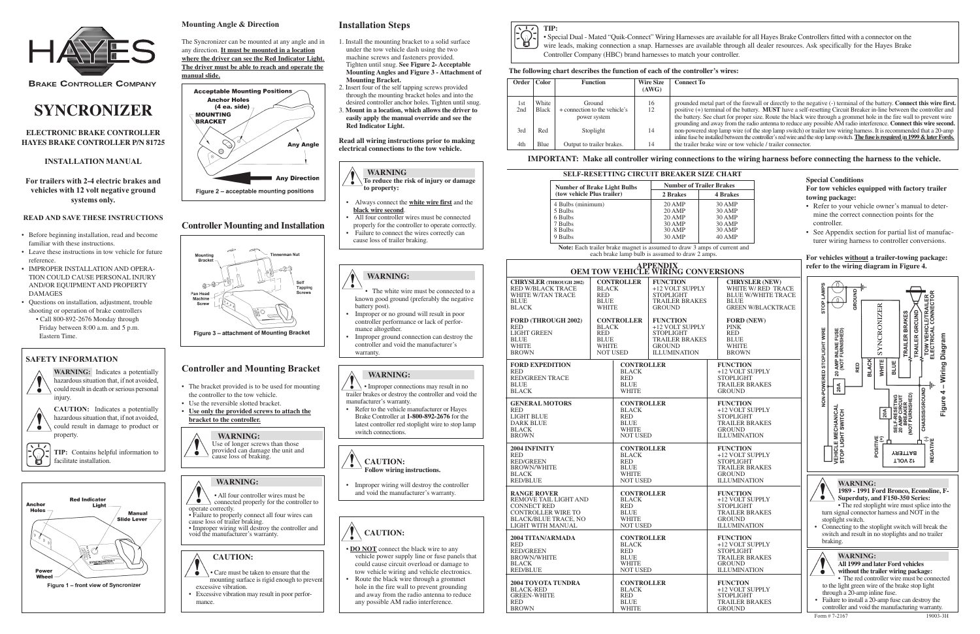

**BRAKE CONTROLLER COMPANY** 

### **ELECTRONIC BRAKE CONTROLLER HAYES BRAKE CONTROLLER P/N 81725**

### **INSTALLATION MANUAL**

**For trailers with 2-4 electric brakes and vehicles with 12 volt negative ground systems only.**

### **READ AND SAVE THESE INSTRUCTIONS**

**WARNING:** Indicates a potentially hazardous situation that, if not avoided, could result in death or serious personal injury

- Before beginning installation, read and become familiar with these instructions.
- Leave these instructions in tow vehicle for future reference.
- IMPROPER INSTALLATION AND OPERA-TION COULD CAUSE PERSONAL INJURY AND/OR EQUIPMENT AND PROPERTY DAMAGES
- Questions on installation, adjustment, trouble shooting or operation of brake controllers • Call 800-892-2676 Monday through
- Friday between 8:00 a.m. and 5 p.m. Eastern Time.

**EQ TIP:** Contains helpful information to facilitate installation.



## **SAFETY INFORMATION**



 $\ddot{\bullet}$ 

**CAUTION:** Indicates a potentially hazardous situation that, if not avoided, could result in damage to product or property.

## **The following chart describes the function of each of the controller's wires:**

| Order      | <b>Color</b>          | <b>Function</b>                                         | <b>Wire Size</b><br>(AWG) | <b>Connect To</b>                                                                          |
|------------|-----------------------|---------------------------------------------------------|---------------------------|--------------------------------------------------------------------------------------------|
| 1st<br>2nd | White<br><b>Black</b> | Ground<br>+ connection to the vehicle's<br>power system | 16<br>12                  | grounded metal par<br>positive $(+)$ termina<br>the battery. See cha<br>grounding and away |
| 3rd        | Red                   | Stoplight                                               | 14                        | non-powered stop la<br>inline fuse be installed                                            |
| 4th        | Blue                  | Output to trailer brakes.                               | 14                        | the trailer brake wi                                                                       |

**Note:** Each trailer brake magnet is assumed to draw 3 amps of current and each brake lamp bulb is assumed to draw 2 amps.

## **For vehicles without a trailer-towing package: PERDIXISIONS refer to the wiring diagram in Figure 4.**

### **IMPORTANT: Make all controller wiring connections to the wiring harness before connecting the harness to the vehicle.**



### **Special Conditions**

**For tow vehicles equipped with factory trailer towing package:**

- Refer to your vehicle owner's manual to determine the correct connection points for the controller.
- See Appendix section for partial list of manufacturer wiring harness to controller conversions.

- $\overline{\bullet}$ • Improper connections may result in no trailer brakes or destroy the controller and void the manufacturer's warranty.
- Refer to the vehicle manufacturer or Hayes Brake Controller at **1-800-892-2676** for the latest controller red stoplight wire to stop lamp switch connections.

| <b>Number of Brake Light Bulbs</b> | <b>Number of Trailer Brakes</b> |                 |  |
|------------------------------------|---------------------------------|-----------------|--|
| (tow vehicle Plus trailer)         | 2 Brakes                        | <b>4 Brakes</b> |  |
| 4 Bulbs (minimum)                  | $20$ AMP                        | 30 AMP          |  |
| 5 Bulbs                            | $20$ AMP                        | 30 AMP          |  |
| 6 Bulbs                            | $20$ AMP                        | 30 AMP          |  |
| 7 Bulbs                            | 30 AMP                          | 30 AMP          |  |
| 8 Bulbs                            | 30 AMP                          | 30 AMP          |  |
| 9 Bulbs                            | 30 AMP                          | 40 AMP          |  |



|                                                                                                                                                    |                                                                              |                                                                                                   |                                                                                                                         | <u>.</u>                                                                                                                |  |
|----------------------------------------------------------------------------------------------------------------------------------------------------|------------------------------------------------------------------------------|---------------------------------------------------------------------------------------------------|-------------------------------------------------------------------------------------------------------------------------|-------------------------------------------------------------------------------------------------------------------------|--|
|                                                                                                                                                    | <b>APPENDIX</b><br>OEM TOW VEHICLE WIRING CONVERSIONS                        |                                                                                                   |                                                                                                                         |                                                                                                                         |  |
| <b>CHRYSLER (THROUGH 2002)</b><br><b>RED W/BLACK TRACE</b><br>WHITE W/TAN TRACE<br><b>BLUE</b><br><b>BLACK</b>                                     | <b>BLACK</b><br><b>RED</b><br><b>BLUE</b><br><b>WHITE</b>                    | <b>CONTROLLER</b>                                                                                 | <b>FUNCTION</b><br>+12 VOLT SUPPLY<br><b>STOPLIGHT</b><br><b>TRAILER BRAKES</b><br><b>GROUND</b>                        | <b>CHRYSLER (NE</b><br>WHITE W/RED<br><b>BLUE W/WHITE</b><br><b>BLUE</b><br><b>GREEN W/BLAC</b>                         |  |
| <b>FORD (THROUGH 2002)</b><br><b>RED</b><br><b>LIGHT GREEN</b><br><b>BLUE</b><br><b>WHITE</b><br><b>BROWN</b>                                      | <b>BLACK</b><br><b>RED</b><br><b>BLUE</b><br><b>WHITE</b><br><b>NOT USED</b> | <b>CONTROLLER</b>                                                                                 | <b>FUNCTION</b><br>+12 VOLT SUPPLY<br><b>STOPLIGHT</b><br><b>TRAILER BRAKES</b><br><b>GROUND</b><br><b>ILLUMINATION</b> | <b>FORD (NEW)</b><br><b>PINK</b><br><b>RED</b><br><b>BLUE</b><br><b>WHITE</b><br><b>BROWN</b>                           |  |
| <b>FORD EXPEDITION</b><br>RED<br><b>RED/GREEN TRACE</b><br><b>BLUE</b><br><b>BLACK</b>                                                             |                                                                              | <b>CONTROLLER</b><br><b>BLACK</b><br><b>RED</b><br><b>BLUE</b><br><b>WHITE</b>                    |                                                                                                                         | <b>FUNCTION</b><br>+12 VOLT SUPPLY<br><b>STOPLIGHT</b><br><b>TRAILER BRAKES</b><br><b>GROUND</b>                        |  |
| <b>GENERAL MOTORS</b><br><b>RED</b><br><b>LIGHT BLUE</b><br>DARK BLUE<br>BLACK<br><b>BROWN</b>                                                     |                                                                              | <b>CONTROLLER</b><br><b>BLACK</b><br><b>RED</b><br><b>BLUE</b><br>WHITE<br><b>NOT USED</b>        |                                                                                                                         | <b>FUNCTION</b><br>+12 VOLT SUPPLY<br><b>STOPLIGHT</b><br><b>TRAILER BRAKES</b><br><b>GROUND</b><br><b>ILLUMINATION</b> |  |
| 2004 INFINITY<br>RED<br><b>RED/GREEN</b><br><b>BROWN/WHITE</b><br><b>BLACK</b><br><b>RED/BLUE</b>                                                  |                                                                              | <b>CONTROLLER</b><br><b>BLACK</b><br><b>RED</b><br><b>BLUE</b><br><b>WHITE</b><br><b>NOT USED</b> |                                                                                                                         | <b>FUNCTION</b><br>+12 VOLT SUPPLY<br><b>STOPLIGHT</b><br><b>TRAILER BRAKES</b><br><b>GROUND</b><br><b>ILLUMINATION</b> |  |
| <b>RANGE ROVER</b><br>REMOVE TAIL LIGHT AND<br><b>CONNECT RED</b><br><b>CONTROLLER WIRE TO</b><br><b>BLACK/BLUE TRACE, NO</b><br>LIGHT WITH MANUAL |                                                                              | <b>CONTROLLER</b><br><b>BLACK</b><br><b>RED</b><br><b>BLUE</b><br><b>WHITE</b><br><b>NOT USED</b> |                                                                                                                         | <b>FUNCTION</b><br>+12 VOLT SUPPLY<br><b>STOPLIGHT</b><br><b>TRAILER BRAKES</b><br><b>GROUND</b><br><b>ILLUMINATION</b> |  |
| 2004 TITAN/ARMADA<br><b>RED</b><br><b>RED/GREEN</b><br><b>BROWN/WHITE</b><br><b>BLACK</b><br><b>RED/BLUE</b>                                       |                                                                              | <b>CONTROLLER</b><br><b>BLACK</b><br><b>RED</b><br><b>BLUE</b><br><b>WHITE</b><br><b>NOT USED</b> |                                                                                                                         | <b>FUNCTION</b><br>+12 VOLT SUPPLY<br><b>STOPLIGHT</b><br><b>TRAILER BRAKES</b><br><b>GROUND</b><br><b>ILLUMINATION</b> |  |
| 2004 TOYOTA TUNDRA<br><b>BLACK-RED</b><br><b>GREEN-WHITE</b><br>RED<br><b>BROWN</b>                                                                |                                                                              | <b>CONTROLLER</b><br><b>BLACK</b><br><b>RED</b><br><b>BLUE</b><br>WHITE                           |                                                                                                                         | <b>FUNCTON</b><br>+12 VOLT SUPPLY<br><b>STOPLIGHT</b><br><b>TRAILER BRAKES</b><br><b>GROUND</b>                         |  |

Int of the firewall or directly to the negative (-) terminal of the battery. **Connect this wire first** al of the battery. **MUST** have a self-resetting Circuit Breaker in-line between the controller and art for proper size. Route the black wire through a grommet hole in the fire wall to prevent wire y from the radio antenna to reduce any possible AM radio interference. Connect this wire second. amp wire (of the stop lamp switch) or trailer tow wiring harness. It is recommended that a 20-amp inline fuse be installed between the controller's red wire and the stop lamp switch. **The fuse is required** i**n 1999 & later Fords.** ire or tow vehicle / trailer connector.



• Special Dual - Mated "Quik-Connect" Wiring Harnesses are available for all Hayes Brake Controllers fitted with a connector on the wire leads, making connection a snap. Harnesses are available through all dealer resources. Ask specifically for the Hayes Brake Controller Company (HBC) brand harnesses to match your controller.

# **SYNCRONIZER**

## **Installation Steps**

- 1. Install the mounting bracket to a solid surface under the tow vehicle dash using the two machine screws and fasteners provided. Tighten until snug. **See Figure 2- Acceptable Mounting Angles and Figure 3 - Attachment of Mounting Bracket.**
- 2. Insert four of the self tapping screws provided through the mounting bracket holes and into the desired controller anchor holes. Tighten until snug. 3. **Mount in a location, which allows the driver to**
- **easily apply the manual override and see the Red Indicator Light.**

**Read all wiring instructions prior to making electrical connections to the tow vehicle.**



- • Always connect the **white wire first** and the **black wire second**.
- All four controller wires must be connected properly for the controller to operate correctly.
- • Failure to connect the wires correctly can cause loss of trailer braking.

# **WARNING:**

- The white wire must be connected to a known good ground (preferably the negative battery post).
- • Improper or no ground will result in poor controller performance or lack of performance altogether.
- • Improper ground connection can destroy the controller and void the manufacturer's warranty.

### **WARNING:**

**CAUTION: Follow wiring instructions.**

• Improper wiring will destroy the controller and void the manufacturer's warranty.

# **CAUTION:**

- **DO NOT** connect the black wire to any vehicle power supply line or fuse panels that could cause circuit overload or damage to tow vehicle wiring and vehicle electronics.
- • Route the black wire through a grommet hole in the fire wall to prevent grounding and away from the radio antenna to reduce any possible AM radio interference.

### **Mounting Angle & Direction**

The Syncronizer can be mounted at any angle and in any direction. **It must be mounted in a location where the driver can see the Red Indicator Light. The driver must be able to reach and operate the manual slide.**



# **Controller and Mounting Bracket**

- The bracket provided is to be used for mounting the controller to the tow vehicle.
- Use the reversible slotted bracket. • **Use only the provided screws to attach the**

# **bracket to the controller.**

### **WARNING:** Use of longer screws than those

provided can damage the unit and cause loss of braking.

## **WARNING:**

• All four controller wires must be connected properly for the controller to operate correctly. • Failure to properly connect all four wires can

cause loss of trailer braking. • Improper wiring will destroy the controller and void the manufacturer's warranty.

# **CAUTION:**

- Care must be taken to ensure that the mounting surface is rigid enough to prevent
- excessive vibration. • Excessive vibration may result in poor performance.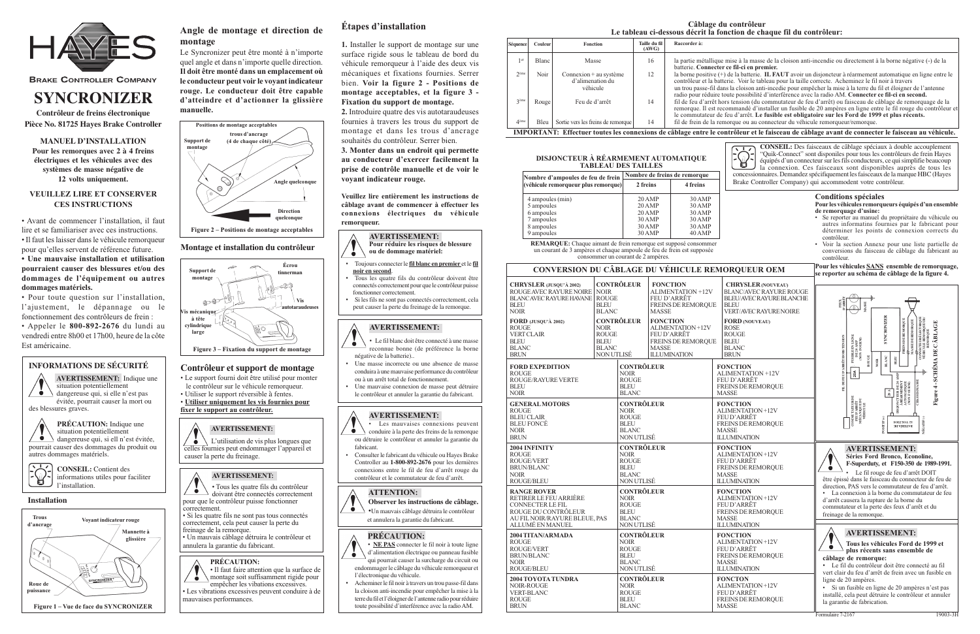

**BRAKE CONTROLLER COMPANY** 

**Contrôleur de freins électronique Pièce No. 81725 Hayes Brake Controller**

**MANUEL D'INSTALLATION Pour les remorques avec 2 à 4 freins électriques et les véhicules avec des systèmes de masse négative de 12 volts uniquement.**

### **VEUILLEZ LIRE ET CONSERVER CES INSTRUCTIONS**

• Avant de commencer l'installation, il faut lire et se familiariser avec ces instructions. • Il faut les laisser dans le véhicule remorqueur pour qu'elles servent de référence future. **• Une mauvaise installation et utilisation pourraient causer des blessures et/ou des dommages de l'équipement ou autres dommages matériels.**

• Pour toute question sur l'installation, l'ajustement, le dépannage ou le fonctionnement des contrôleurs de frein : • Appeler le **800-892-2676** du lundi au vendredi entre 8h00 et 17h00, heure de la côte Est américaine.

# **INFORMATIONS DE SÉCURITÉ**

### $\ddot{\bullet}$ L'utilisation de vis plus longues que celles fournies peut endommager l'appareil et



**PRÉCAUTION:** Indique une situation potentiellement dangereuse qui, si ell n'est évitée,

pourrait causer des dommages du produit ou autres dommages matériels.



informations utiles pour faciliter l'installation.

### **Montage et installation du contr ôleur**

# **Contr ôleur et support de montage**

- Le support fourni doit être utilisé pour monter le contrôleur sur le véhicule remorqueur.
- Utiliser le support réversible à fentes. • **Utiliser uniquement les vis fournies pour**

**fixer le support au contrôleur.**

### **Conditions spéciales Pour les véhicules remorqueurs équipés d'un ensemble de remorquage d'usine:**

e mise à la masse de la cloison anti-incendie ou directement à la borne négative (-) de la batterie. **Connecter ce fil-ci en premier.**

<sup>+</sup>) de la batterie. **IL FAUT** avoir un disjoncteur à réarmement automatique en ligne entre le tterie. Voir le tableau pour la taille correcte. Acheminez le fil noir à travers

ans la cloison anti-incedie pour empêcher la mise à la terre du fil et éloigner de l'antenne toute possibilité d'interférence avec la radio AM. Connecter ce fil-ci en second.

ors tension (du commutateur de feu d'arrêt) ou faisceau de câblage de remorquage de la recommandé d'installer un fusible de 20 ampères en ligne entre le fil rouge du contrôleur et e feu d'arrêt. Le fusible est obligatoire sur les Ford de 1999 et plus récents. emorque ou au connecteur du véhicule remorqueur/remorque

- Se reporter au manuel du propriétaire du véhicule ou autres informatins fournies par le fabricant pour déterminer les points de connexion corrects du contrôleur.
- Voir la section Annexe pour une liste partielle de conversions du faisceau de câblage du fabricant au contrôleur.

**Pour les véhicules SANS ensemble de remorquage, se reporter au schéma de câblage de la figure 4.**

# **SYNCRONIZER**

## **Angle de montage et direction de montage**

Le Syncronizer peut être monté à n'importe quel angle et dans n'importe quelle direction. **Il doit être monté dans un emplacement où le conducteur peut voir le voyant indicateur rouge. Le conducteur doit être capable d'atteindre et d'actionner la glissière manuelle.**

### **AVERTISSEMENT:**

# causer la perte du freinage.

# **AVERTISSEMENT:**

• Tous les quatre fils du contrôleur doivant être connectés correctement pour que le contrôleur puisse fonctionner correctement. • Si les quatre fils ne sont pas tous connectés

- correctement, cela peut causer la perte du freinage de la remorque.
- Un mauvais câblage détruira le contrôleur et annulera la garantie du fabricant.

### **PRÉCAUTION:**

• Il faut faire attention que la surface de montage soit suffisamment rigide pour empêcher les vibations excessives. • Les vibrations excessives peuvent conduire à de mauvaises performances.

# **Étapes d'installation**

**1.** Installer le support de montage sur une surface rigide sous le tableau de bord du véhicule remorqueur à l'aide des deux vis mécaniques et fixations fournies. Serrer bien. **Voir la figure 2 - Positions de montage acceptables, et la figure 3 - Fixation du support de montage.**

**2.** Introduire quatre des vis autotaraudeuses fournies à travers les trous du support de montage et dans les trous d'ancrage souhaités du contrôleur. Serrer bien.

**3. Monter dans un endroit qui permette au conducteur d'exercer facilement la prise de contrôle manuelle et de voir le voyant indicateur rouge.**

**Veuillez lire entièrement les instructions de câblage avant de commencer à effectuer les connexions électriques du véhicule remorqueur.**

| Séquence         | Couleur | <b>Fonction</b>                                                                                                                                                               | Taille du fil<br>(AWG) | Raccorder à:                                                                              |
|------------------|---------|-------------------------------------------------------------------------------------------------------------------------------------------------------------------------------|------------------------|-------------------------------------------------------------------------------------------|
| 1 er             | Blanc   | Masse                                                                                                                                                                         | 16                     | la partie métalliqu<br>batterie. Connecte                                                 |
| $2$ ème          | Noir    | Connexion $+$ au système<br>d'alimenation du<br>véhicule                                                                                                                      | 12                     | la borne positive (<br>contrôleur et la bat<br>un trou passe-fil da<br>radio pour réduire |
| 3 <sup>ème</sup> | Rouge   | Feu de d'arrêt                                                                                                                                                                | 14                     | fil de feu d'arrêt h<br>remorque. Il est re<br>le commutateur de                          |
| 4 <sup>ème</sup> | Bleu    | Sortie vers les freins de remorque<br>$\mathbf{IMD}\cap\mathbf{D}\mathbf{T}$ is $\mathbf{M}\mathbf{T}$ . $\mathbf{F}\mathbf{f}$ contained be connections do capped antwells a | 14                     | fil de frein de la re                                                                     |



**IMPORTANT: Effectuer toutes les connexions de câblage entre le contrôleur et le faisceau de câblage avant de connecter le faisceau au véhicule.**

**REMARQUE:** Chaque aimant de frein remorque est supposé consommer un courant de 3 ampères et chaque ampoule de feu de frein est supposée consommer un courant de 2 ampères.

| Nombre d'ampoules de feu de frein   |          | Nombre de freins de remorque |  |  |
|-------------------------------------|----------|------------------------------|--|--|
| (véhicule remorqueur plus remorque) | 2 freins | 4 freins                     |  |  |
| 4 ampoules (min)                    | $20$ AMP | $30$ AMP                     |  |  |
| 5 ampoules                          | $20$ AMP | $30$ AMP                     |  |  |
| 6 ampoules                          | $20$ AMP | 30 AMP                       |  |  |
| 7 ampoules                          | $30$ AMP | 30 AMP                       |  |  |
| 8 ampoules                          | $30$ AMP | 30 AMP                       |  |  |
| 9 ampoules                          | $30$ AMP | 40 AMP                       |  |  |

### **DISJONCTEUR À RÉARMEMENT AUTOMATIQUE TABLEAU DES TAILLES**

**CONSEIL:** Des faisceaux de câblage spéciaux à double accouplement "Quik-Connect" sont disponiles pour tous les contrôleurs de frein Hayes  $\mathbb{P}^2$ équipés d'un connecteur sur les fils conducteurs, ce qui simplifie beaucoup la connexion. Ces faisceaux sont disponibles auprès de tous les concessionnaires. Demandez spécifiquement les faisceaux de la marque HBC (Hayes Brake Controller Company) qui accommodent votre contrôleur.







- Toujours connecter le **fil blanc en premier** et le **fil noir en second**.
- connectés correctement pour que le contrôleur puisse fonctionner correctement.
- peut causer la perte du freinage de la remorque.
- 
- Tous les quatre fils du contrôleur doivent être
- Si les fils ne sont pas connectés correctement, cela

### **AVERTISSEMENT:**

• Le fil blanc doit être connecté à une masse reconnue bonne (de préférence la borne négative de la batterie)..

- Une masse incorrecte ou une absence de masse conduira à une mauvaise performance du contrôleur ou à un arrêt total de fonctionnement.
- Une mauvaise connexion de masse peut détruire le contrôleur et annuler la garantie du fabricant.



 Consulter le fabricant du véhicule ou Hayes Brake Controller au **1-800-892-2676** pour les dernières connexions entre le fil de feu d'arrêt rouge du contrôleur et le commutateur de feu d'arrêt.





• **NE PAS** connecter le fil noir à toute ligne d'alimentation électrique ou panneau fusible qui pourrait causer la surcharge du circuit ou endommager le câblage du véhicule remorqueur et l'électronique du véhicule.

•

 Acheminer le fil noir à travers un trou passe-fil dans la cloison anti-incendie pour empêcher la mise à la terre du fil et l'éloigner de l'antenne radio pour réduire toute possibilité d'interférence avec la radio AM.

### **CONVERSION DU CÂBLAGE DU VÉHICULE REMORQUEUR OEM**

| <b>CHRYSLER</b> (JUSQU'À 2002)<br>ROUGE AVEC RAYURE NOIRE<br><b>BLANCAVEC RAYURE HAVANE</b><br><b>BLEU</b><br><b>NOIR</b><br>FORD (JUSQU'À 2002)<br><b>ROUGE</b><br><b>VERT CLAIR</b><br><b>BLEU</b><br><b>BLANC</b><br><b>BRUN</b> | <b>NOIR</b><br><b>ROUGE</b><br><b>BLEU</b><br><b>BLANC</b><br>NOIR<br><b>ROUGE</b><br><b>BLEU</b><br><b>BLANC</b><br>NON UTLISÉ | <b>CONTRÔLEUR</b><br><b>CONTRÔLEUR</b>                                          | <b>FONCTION</b><br>ALIMENTATION +12V<br><b>FEU D'ARRÊT</b><br><b>FREINS DE REMORQUE</b><br><b>MASSE</b><br><b>FONCTION</b><br>ALIMENTATION +12V<br>FEU D'ARRÊT<br>FREINS DE REMORQUE<br><b>MASSE</b><br><b>ILLUMINATION</b> |                          | <b>CHRYSLER (NOUV)</b><br><b>BLANC/AVEC RAYU</b><br><b>BLEU/AVEC RAYURI</b><br><b>BLEU</b><br><b>VERT/AVEC RAYURI</b><br><b>FORD (NOUVEAU)</b><br>ROSE<br><b>ROUGE</b><br><b>BLEU</b><br><b>BLANC</b><br><b>BRUN</b> |  |
|-------------------------------------------------------------------------------------------------------------------------------------------------------------------------------------------------------------------------------------|---------------------------------------------------------------------------------------------------------------------------------|---------------------------------------------------------------------------------|-----------------------------------------------------------------------------------------------------------------------------------------------------------------------------------------------------------------------------|--------------------------|----------------------------------------------------------------------------------------------------------------------------------------------------------------------------------------------------------------------|--|
| <b>FORD EXPEDITION</b>                                                                                                                                                                                                              |                                                                                                                                 | <b>CONTRÔLEUR</b>                                                               |                                                                                                                                                                                                                             |                          | <b>FONCTION</b>                                                                                                                                                                                                      |  |
| <b>ROUGE</b>                                                                                                                                                                                                                        |                                                                                                                                 | <b>NOIR</b>                                                                     |                                                                                                                                                                                                                             |                          | <b>ALIMENTATION +12V</b>                                                                                                                                                                                             |  |
| ROUGE/RAYURE VERTE                                                                                                                                                                                                                  |                                                                                                                                 | <b>ROUGE</b>                                                                    |                                                                                                                                                                                                                             |                          | <b>FEU D'ARRET</b>                                                                                                                                                                                                   |  |
| <b>BLEU</b>                                                                                                                                                                                                                         |                                                                                                                                 | <b>BLEU</b>                                                                     |                                                                                                                                                                                                                             |                          | <b>FREINS DE REMOROU</b>                                                                                                                                                                                             |  |
| <b>NOIR</b>                                                                                                                                                                                                                         |                                                                                                                                 | <b>BLANC</b>                                                                    |                                                                                                                                                                                                                             |                          | <b>MASSE</b>                                                                                                                                                                                                         |  |
| <b>GENERAL MOTORS</b>                                                                                                                                                                                                               |                                                                                                                                 | <b>CONTRÔLEUR</b>                                                               |                                                                                                                                                                                                                             | <b>FONCTION</b>          |                                                                                                                                                                                                                      |  |
| <b>ROUGE</b>                                                                                                                                                                                                                        |                                                                                                                                 | <b>NOIR</b>                                                                     |                                                                                                                                                                                                                             | ALIMENTATION +12V        |                                                                                                                                                                                                                      |  |
| <b>BLEUCLAIR</b>                                                                                                                                                                                                                    |                                                                                                                                 | <b>ROUGE</b>                                                                    |                                                                                                                                                                                                                             | <b>FEUD'ARRÊT</b>        |                                                                                                                                                                                                                      |  |
| <b>BLEU FONCÉ</b>                                                                                                                                                                                                                   |                                                                                                                                 | <b>BLEU</b>                                                                     |                                                                                                                                                                                                                             | <b>FREINS DE REMOROU</b> |                                                                                                                                                                                                                      |  |
| <b>NOIR</b>                                                                                                                                                                                                                         |                                                                                                                                 | <b>BLANC</b>                                                                    |                                                                                                                                                                                                                             | <b>MASSE</b>             |                                                                                                                                                                                                                      |  |
| <b>BRUN</b>                                                                                                                                                                                                                         |                                                                                                                                 | NON UTLISÉ                                                                      |                                                                                                                                                                                                                             | <b>ILLUMINATION</b>      |                                                                                                                                                                                                                      |  |
| 2004 INFINITY                                                                                                                                                                                                                       |                                                                                                                                 | <b>CONTRÔLEUR</b>                                                               |                                                                                                                                                                                                                             |                          | <b>FONCTION</b>                                                                                                                                                                                                      |  |
| <b>ROUGE</b>                                                                                                                                                                                                                        |                                                                                                                                 | <b>NOIR</b>                                                                     |                                                                                                                                                                                                                             |                          | ALIMENTATION +12V                                                                                                                                                                                                    |  |
| <b>ROUGE/VERT</b>                                                                                                                                                                                                                   |                                                                                                                                 | <b>ROUGE</b>                                                                    |                                                                                                                                                                                                                             |                          | <b>FEUD'ARRÊT</b>                                                                                                                                                                                                    |  |
| <b>BRUN/BLANC</b>                                                                                                                                                                                                                   |                                                                                                                                 | <b>BLEU</b>                                                                     |                                                                                                                                                                                                                             |                          | <b>FREINS DE REMORQU</b>                                                                                                                                                                                             |  |
| <b>NOIR</b>                                                                                                                                                                                                                         |                                                                                                                                 | <b>BLANC</b>                                                                    |                                                                                                                                                                                                                             |                          | <b>MASSE</b>                                                                                                                                                                                                         |  |
| <b>ROUGE/BLEU</b>                                                                                                                                                                                                                   |                                                                                                                                 | NON UTLISÉ                                                                      |                                                                                                                                                                                                                             |                          | <b>ILLUMINATION</b>                                                                                                                                                                                                  |  |
| <b>RANGE ROVER</b>                                                                                                                                                                                                                  |                                                                                                                                 | <b>CONTRÔLEUR</b>                                                               |                                                                                                                                                                                                                             |                          | <b>FONCTION</b>                                                                                                                                                                                                      |  |
| RETIRER LE FEU ARRIÈRE                                                                                                                                                                                                              |                                                                                                                                 | <b>NOIR</b>                                                                     |                                                                                                                                                                                                                             |                          | ALIMENTATION +12V                                                                                                                                                                                                    |  |
| <b>CONNECTER LE FIL</b>                                                                                                                                                                                                             |                                                                                                                                 | <b>ROUGE</b>                                                                    |                                                                                                                                                                                                                             |                          | <b>FEUD'ARRÊT</b>                                                                                                                                                                                                    |  |
| ROUGE DU CONTRÔLEUR                                                                                                                                                                                                                 |                                                                                                                                 | <b>BLEU</b>                                                                     |                                                                                                                                                                                                                             |                          | <b>FREINS DE REMORQU</b>                                                                                                                                                                                             |  |
| AU FIL NOIR/RAYURE BLEUE, PAS                                                                                                                                                                                                       |                                                                                                                                 | <b>BLANC</b>                                                                    |                                                                                                                                                                                                                             |                          | <b>MASSE</b>                                                                                                                                                                                                         |  |
| ALLUMÉ EN MANUEL                                                                                                                                                                                                                    |                                                                                                                                 | NON UTLISÉ                                                                      |                                                                                                                                                                                                                             |                          | <b>ILLUMINATION</b>                                                                                                                                                                                                  |  |
| 2004 TITAN/ARMADA                                                                                                                                                                                                                   |                                                                                                                                 | <b>CONTRÔLEUR</b>                                                               |                                                                                                                                                                                                                             |                          | <b>FONCTION</b>                                                                                                                                                                                                      |  |
| <b>ROUGE</b>                                                                                                                                                                                                                        |                                                                                                                                 | <b>NOIR</b>                                                                     |                                                                                                                                                                                                                             |                          | ALIMENTATION +12V                                                                                                                                                                                                    |  |
| ROUGE/VERT                                                                                                                                                                                                                          |                                                                                                                                 | <b>ROUGE</b>                                                                    |                                                                                                                                                                                                                             |                          | <b>FEUD'ARRÊT</b>                                                                                                                                                                                                    |  |
| <b>BRUN/BLANC</b>                                                                                                                                                                                                                   |                                                                                                                                 | <b>BLEU</b>                                                                     |                                                                                                                                                                                                                             |                          | <b>FREINS DE REMORQU</b>                                                                                                                                                                                             |  |
| <b>NOIR</b>                                                                                                                                                                                                                         |                                                                                                                                 | <b>BLANC</b>                                                                    |                                                                                                                                                                                                                             |                          | <b>MASSE</b>                                                                                                                                                                                                         |  |
| <b>ROUGE/BLEU</b>                                                                                                                                                                                                                   |                                                                                                                                 | NON UTLISÉ                                                                      |                                                                                                                                                                                                                             |                          | <b>ILLUMINATION</b>                                                                                                                                                                                                  |  |
| 2004 TOYOTA TUNDRA<br>NOIR-ROUGE<br><b>VERT-BLANC</b><br><b>ROUGE</b><br><b>BRUN</b>                                                                                                                                                |                                                                                                                                 | <b>CONTRÔLEUR</b><br><b>NOIR</b><br><b>ROUGE</b><br><b>BLEU</b><br><b>BLANC</b> |                                                                                                                                                                                                                             |                          | <b>FONCTON</b><br>ALIMENTATION +12V<br><b>FEUD'ARRÊT</b><br><b>FREINS DE REMORQU</b><br><b>MASSE</b>                                                                                                                 |  |